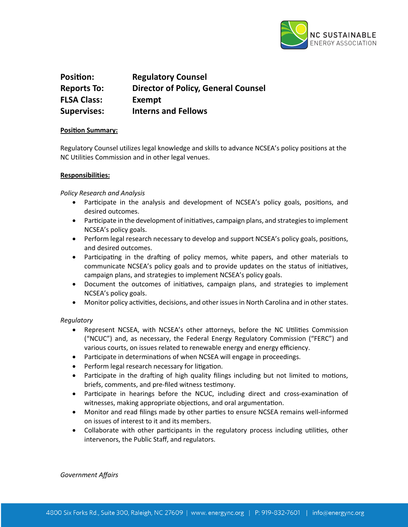

# **Position:** Regulatory Counsel **Reports To: Director of Policy, General Counsel FLSA Class: Exempt Supervises: Interns and Fellows**

## **Position Summary:**

Regulatory Counsel utilizes legal knowledge and skills to advance NCSEA's policy positions at the NC Utilities Commission and in other legal venues.

## **Responsibilities:**

## *Policy Research and Analysis*

- Participate in the analysis and development of NCSEA's policy goals, positions, and desired outcomes.
- Participate in the development of initiatives, campaign plans, and strategies to implement NCSEA's policy goals.
- Perform legal research necessary to develop and support NCSEA's policy goals, positions, and desired outcomes.
- Participating in the drafting of policy memos, white papers, and other materials to communicate NCSEA's policy goals and to provide updates on the status of initiatives, campaign plans, and strategies to implement NCSEA's policy goals.
- Document the outcomes of initiatives, campaign plans, and strategies to implement NCSEA's policy goals.
- Monitor policy activities, decisions, and other issues in North Carolina and in other states.

# *Regulatory*

- Represent NCSEA, with NCSEA's other attorneys, before the NC Utilities Commission ("NCUC") and, as necessary, the Federal Energy Regulatory Commission ("FERC") and various courts, on issues related to renewable energy and energy efficiency.
- Participate in determinations of when NCSEA will engage in proceedings.
- $\bullet$  Perform legal research necessary for litigation.
- Participate in the drafting of high quality filings including but not limited to motions, briefs, comments, and pre-filed witness testimony.
- Participate in hearings before the NCUC, including direct and cross-examination of witnesses, making appropriate objections, and oral argumentation.
- Monitor and read filings made by other parties to ensure NCSEA remains well-informed on issues of interest to it and its members.
- Collaborate with other participants in the regulatory process including utilities, other intervenors, the Public Staff, and regulators.

*Government Affairs*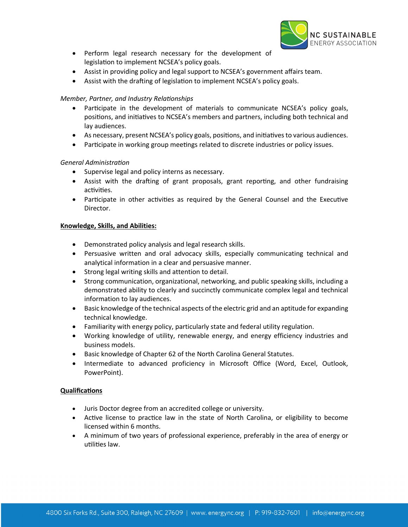

- Perform legal research necessary for the development of legislation to implement NCSEA's policy goals.
- Assist in providing policy and legal support to NCSEA's government affairs team.
- Assist with the drafting of legislation to implement NCSEA's policy goals.

# *Member, Partner, and Industry Relationships*

- Participate in the development of materials to communicate NCSEA's policy goals, positions, and initiatives to NCSEA's members and partners, including both technical and lay audiences.
- As necessary, present NCSEA's policy goals, positions, and initiatives to various audiences.
- Participate in working group meetings related to discrete industries or policy issues.

# **General Administration**

- Supervise legal and policy interns as necessary.
- Assist with the drafting of grant proposals, grant reporting, and other fundraising activities.
- Participate in other activities as required by the General Counsel and the Executive Director.

# **Knowledge, Skills, and Abilities:**

- Demonstrated policy analysis and legal research skills.
- Persuasive written and oral advocacy skills, especially communicating technical and analytical information in a clear and persuasive manner.
- Strong legal writing skills and attention to detail.
- Strong communication, organizational, networking, and public speaking skills, including a demonstrated ability to clearly and succinctly communicate complex legal and technical information to lay audiences.
- Basic knowledge of the technical aspects of the electric grid and an aptitude for expanding technical knowledge.
- Familiarity with energy policy, particularly state and federal utility regulation.
- Working knowledge of utility, renewable energy, and energy efficiency industries and business models.
- Basic knowledge of Chapter 62 of the North Carolina General Statutes.
- Intermediate to advanced proficiency in Microsoft Office (Word, Excel, Outlook, PowerPoint).

# **Qualifications**

- Juris Doctor degree from an accredited college or university.
- Active license to practice law in the state of North Carolina, or eligibility to become licensed within 6 months.
- A minimum of two years of professional experience, preferably in the area of energy or utilities law.